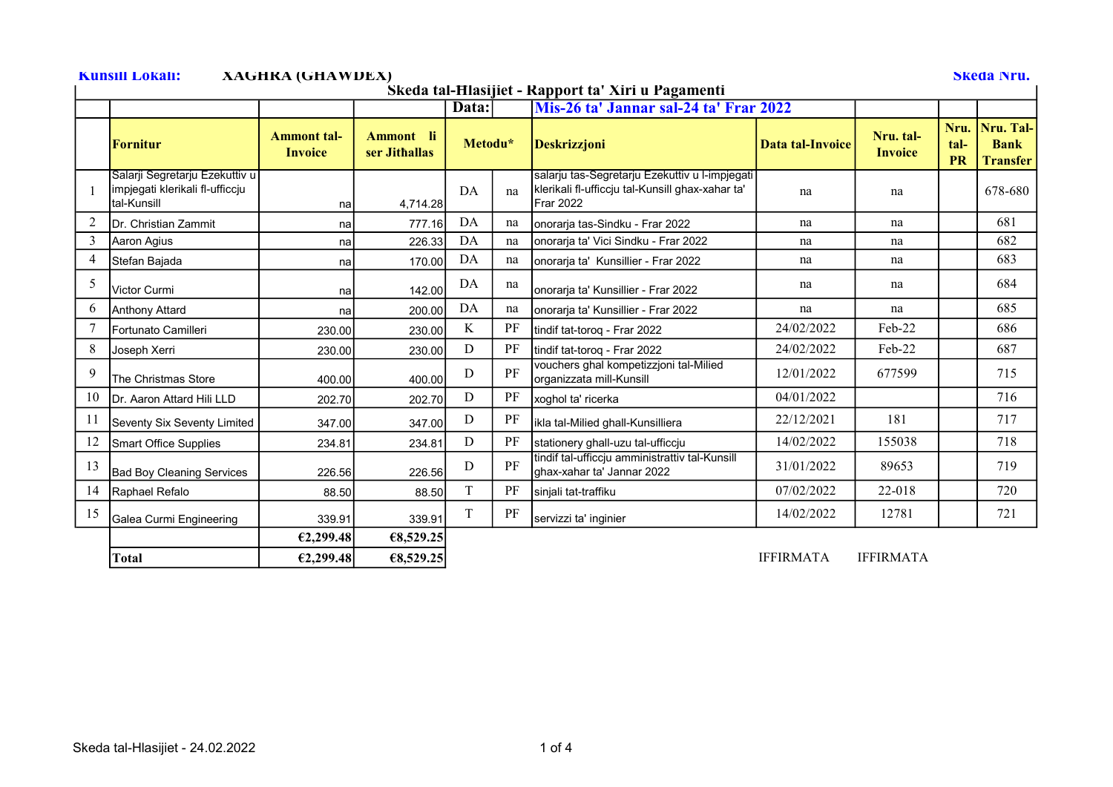Kunsill Lokali: XAGHKA (GHAWDEX) Skeda Nru.

## Skeda tal-Ħlasijiet - Rapport ta' Xiri u Pagamenti

|                | Skega tai-Hiasijiet - Rapport ta "Airi u Pagamenti                               |                                      |                            |         |    |                                                                                                                 |                         |                             |                           |                                             |  |  |
|----------------|----------------------------------------------------------------------------------|--------------------------------------|----------------------------|---------|----|-----------------------------------------------------------------------------------------------------------------|-------------------------|-----------------------------|---------------------------|---------------------------------------------|--|--|
|                |                                                                                  |                                      |                            | Data:   |    | Mis-26 ta' Jannar sal-24 ta' Frar 2022                                                                          |                         |                             |                           |                                             |  |  |
|                | <b>Fornitur</b>                                                                  | <b>Ammont tal-</b><br><b>Invoice</b> | Ammont li<br>ser Jithallas | Metodu* |    | <b>Deskrizzjoni</b>                                                                                             | <b>Data tal-Invoice</b> | Nru. tal-<br><b>Invoice</b> | Nru.<br>tal-<br><b>PR</b> | Nru. Tal-<br><b>Bank</b><br><b>Transfer</b> |  |  |
|                | Salarji Segretarju Ezekuttiv u<br>impjegati klerikali fl-ufficcju<br>tal-Kunsill | na                                   | 4,714.28                   | DA      | na | salarju tas-Segretarju Ezekuttiv u l-impjegati<br>klerikali fl-ufficcju tal-Kunsill ghax-xahar ta'<br>Frar 2022 | na                      | na                          |                           | 678-680                                     |  |  |
| 2              | Dr. Christian Zammit                                                             | na                                   | 777.16                     | DA      | na | onorarja tas-Sindku - Frar 2022                                                                                 | na                      | na                          |                           | 681                                         |  |  |
| 3              | Aaron Agius                                                                      | na                                   | 226.33                     | DA      | na | onorarja ta' Vici Sindku - Frar 2022                                                                            | na                      | na                          |                           | 682                                         |  |  |
| $\overline{4}$ | Stefan Bajada                                                                    | na                                   | 170.00                     | DA      | na | onorarja ta' Kunsillier - Frar 2022                                                                             | na                      | na                          |                           | 683                                         |  |  |
| 5              | Victor Curmi                                                                     | na                                   | 142.00                     | DA      | na | onorarja ta' Kunsillier - Frar 2022                                                                             | na                      | na                          |                           | 684                                         |  |  |
| 6              | Anthony Attard                                                                   | na                                   | 200.00                     | DA      | na | onorarja ta' Kunsillier - Frar 2022                                                                             | na                      | na                          |                           | 685                                         |  |  |
|                | Fortunato Camilleri                                                              | 230.00                               | 230.00                     | K       | PF | tindif tat-torog - Frar 2022                                                                                    | 24/02/2022              | Feb-22                      |                           | 686                                         |  |  |
| 8              | Joseph Xerri                                                                     | 230.00                               | 230.00                     | D       | PF | tindif tat-torog - Frar 2022                                                                                    | 24/02/2022              | Feb-22                      |                           | 687                                         |  |  |
| 9              | <b>The Christmas Store</b>                                                       | 400.00                               | 400.00                     | D       | PF | vouchers ghal kompetizzjoni tal-Milied<br>organizzata mill-Kunsill                                              | 12/01/2022              | 677599                      |                           | 715                                         |  |  |
| 10             | <b>IDr. Aaron Attard Hili LLD</b>                                                | 202.70                               | 202.70                     | D       | PF | xoghol ta' ricerka                                                                                              | 04/01/2022              |                             |                           | 716                                         |  |  |
| 11             | Seventy Six Seventy Limited                                                      | 347.00                               | 347.00                     | D       | PF | ikla tal-Milied ghall-Kunsilliera                                                                               | 22/12/2021              | 181                         |                           | 717                                         |  |  |
| 12             | <b>Smart Office Supplies</b>                                                     | 234.81                               | 234.81                     | D       | PF | stationery ghall-uzu tal-ufficcju                                                                               | 14/02/2022              | 155038                      |                           | 718                                         |  |  |
| 13             | <b>Bad Boy Cleaning Services</b>                                                 | 226.56                               | 226.56                     | D       | PF | tindif tal-ufficcju amministrattiv tal-Kunsill<br>ghax-xahar ta' Jannar 2022                                    | 31/01/2022              | 89653                       |                           | 719                                         |  |  |
| 14             | Raphael Refalo                                                                   | 88.50                                | 88.50                      | T       | PF | sinjali tat-traffiku                                                                                            | 07/02/2022              | 22-018                      |                           | 720                                         |  |  |
| 15             | Galea Curmi Engineering                                                          | 339.91                               | 339.91                     | T       | PF | servizzi ta' inginier                                                                                           | 14/02/2022              | 12781                       |                           | 721                                         |  |  |
|                |                                                                                  | €2,299.48                            | €8,529.25                  |         |    |                                                                                                                 |                         |                             |                           |                                             |  |  |
|                | <b>Total</b>                                                                     | €2,299.48                            | €8,529.25                  |         |    |                                                                                                                 | <b>IFFIRMATA</b>        | <b>IFFIRMATA</b>            |                           |                                             |  |  |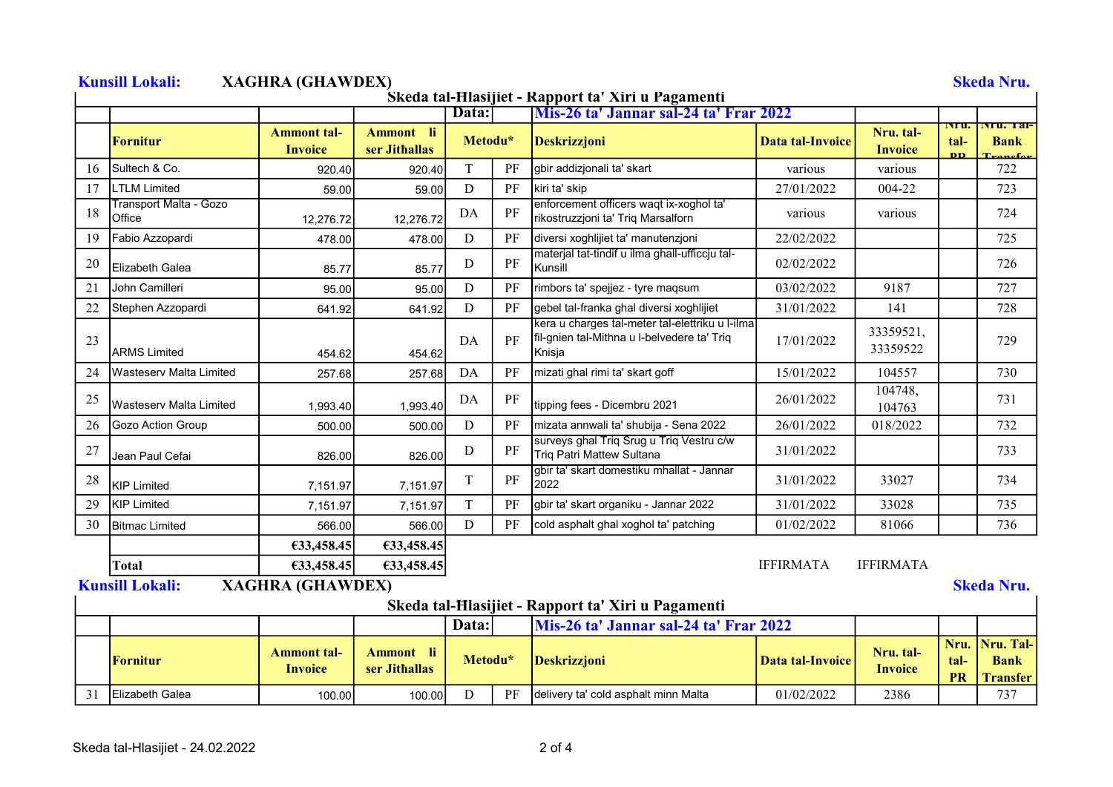|    |                                  |                                      |                            |         |          | Skeda tal-Hlasijiet - Rapport ta' Xiri u Pagamenti                                                       |                         |                             |                           |                                             |
|----|----------------------------------|--------------------------------------|----------------------------|---------|----------|----------------------------------------------------------------------------------------------------------|-------------------------|-----------------------------|---------------------------|---------------------------------------------|
|    |                                  |                                      |                            | Data:   |          | Mis-26 ta' Jannar sal-24 ta' Frar 2022                                                                   |                         |                             | rru.                      | INTU. 121-                                  |
|    | Fornitur                         | <b>Ammont tal-</b><br><b>Invoice</b> | Ammont li<br>ser Jithallas | Metodu* |          | <b>Deskrizzjoni</b>                                                                                      | Data tal-Invoice        | Nru. tal-<br><b>Invoice</b> | tal-<br><b>DD</b>         | <b>Bank</b>                                 |
| 16 | Sultech & Co.                    | 920.40                               | 920.40                     | T       | PF       | gbir addizjonali ta' skart                                                                               | various                 | various                     |                           | 722                                         |
| 17 | <b>LTLM Limited</b>              | 59.00                                | 59.00                      | D       | PF       | kiri ta' skip                                                                                            | 27/01/2022              | 004-22                      |                           | 723                                         |
| 18 | Transport Malta - Gozo<br>Office | 12,276.72                            | 12,276.72                  | DA      | PF       | enforcement officers waqt ix-xoghol ta'<br>rikostruzzjoni ta' Triq Marsalforn                            | various                 | various                     |                           | 724                                         |
| 19 | Fabio Azzopardi                  | 478.00                               | 478.00                     | D       | PF       | diversi xoghlijiet ta' manutenzjoni                                                                      | 22/02/2022              |                             |                           | 725                                         |
| 20 | <b>IE</b> lizabeth Galea         | 85.77                                | 85.77                      | D       | PF       | materjal tat-tindif u ilma ghall-ufficcju tal-<br>Kunsill                                                | 02/02/2022              |                             |                           | 726                                         |
| 21 | John Camilleri                   | 95.00                                | 95.00                      | D       | PF       | rimbors ta' spejjez - tyre maqsum                                                                        | 03/02/2022              | 9187                        |                           | 727                                         |
| 22 | Stephen Azzopardi                | 641.92                               | 641.92                     | D       | PF       | gebel tal-franka ghal diversi xoghlijiet                                                                 | 31/01/2022              | 141                         |                           | 728                                         |
| 23 | <b>ARMS Limited</b>              | 454.62                               | 454.62                     | DA      | PF       | kera u charges tal-meter tal-elettriku u l-ilma<br>fil-gnien tal-Mithna u l-belvedere ta' Triq<br>Knisja | 17/01/2022              | 33359521,<br>33359522       |                           | 729                                         |
| 24 | <b>IWasteserv Malta Limited</b>  | 257.68                               | 257.68                     | DA      | PF       | mizati ghal rimi ta' skart goff                                                                          | 15/01/2022              | 104557                      |                           | 730                                         |
| 25 | <b>I</b> Wasteserv Malta Limited | 1,993.40                             | 1,993.40                   | DA      | $\rm PF$ | tipping fees - Dicembru 2021                                                                             | 26/01/2022              | 104748,<br>104763           |                           | 731                                         |
| 26 | Gozo Action Group                | 500.00                               | 500.00                     | D       | PF       | mizata annwali ta' shubija - Sena 2022                                                                   | 26/01/2022              | 018/2022                    |                           | 732                                         |
| 27 | Jean Paul Cefai                  | 826.00                               | 826.00                     | D       | PF       | surveys ghal Triq Srug u Triq Vestru c/w<br>Triq Patri Mattew Sultana                                    | 31/01/2022              |                             |                           | 733                                         |
| 28 | <b>KIP Limited</b>               | 7.151.97                             | 7,151.97                   | T       | PF       | gbir ta' skart domestiku mhallat - Jannar<br>2022                                                        | 31/01/2022              | 33027                       |                           | 734                                         |
| 29 | <b>KIP Limited</b>               | 7,151.97                             | 7,151.97                   | T       | PF       | gbir ta' skart organiku - Jannar 2022                                                                    | 31/01/2022              | 33028                       |                           | 735                                         |
| 30 | <b>Bitmac Limited</b>            | 566.00                               | 566.00                     | D       | PF       | cold asphalt ghal xoghol ta' patching                                                                    | 01/02/2022              | 81066                       |                           | 736                                         |
|    |                                  | €33,458.45                           | €33,458.45                 |         |          |                                                                                                          |                         |                             |                           |                                             |
|    | <b>Total</b>                     | E33,458.45                           | €33,458.45                 |         |          |                                                                                                          | <b>IFFIRMATA</b>        | <b>IFFIRMATA</b>            |                           |                                             |
|    | <b>Kunsill Lokali:</b>           | <b>XAGHRA (GHAWDEX)</b>              |                            |         |          |                                                                                                          |                         |                             |                           | <b>Skeda Nru.</b>                           |
|    |                                  |                                      |                            |         |          | Skeda tal-Hlasijiet - Rapport ta' Xiri u Pagamenti                                                       |                         |                             |                           |                                             |
|    |                                  |                                      |                            | Data:   |          | Mis-26 ta' Jannar sal-24 ta' Frar 2022                                                                   |                         |                             |                           |                                             |
|    | Fornitur                         | <b>Ammont tal-</b><br><b>Invoice</b> | Ammont li<br>ser Jithallas | Metodu* |          | <b>Deskrizzjoni</b>                                                                                      | <b>Data tal-Invoice</b> | Nru. tal-<br><b>Invoice</b> | Nru.<br>tal-<br><b>PR</b> | Nru. Tal-<br><b>Bank</b><br><b>Transfer</b> |
| 31 | Elizabeth Galea                  | 100.00                               | 100.00                     | D       | PF       | delivery ta' cold asphalt minn Malta                                                                     | 01/02/2022              | 2386                        |                           | 737                                         |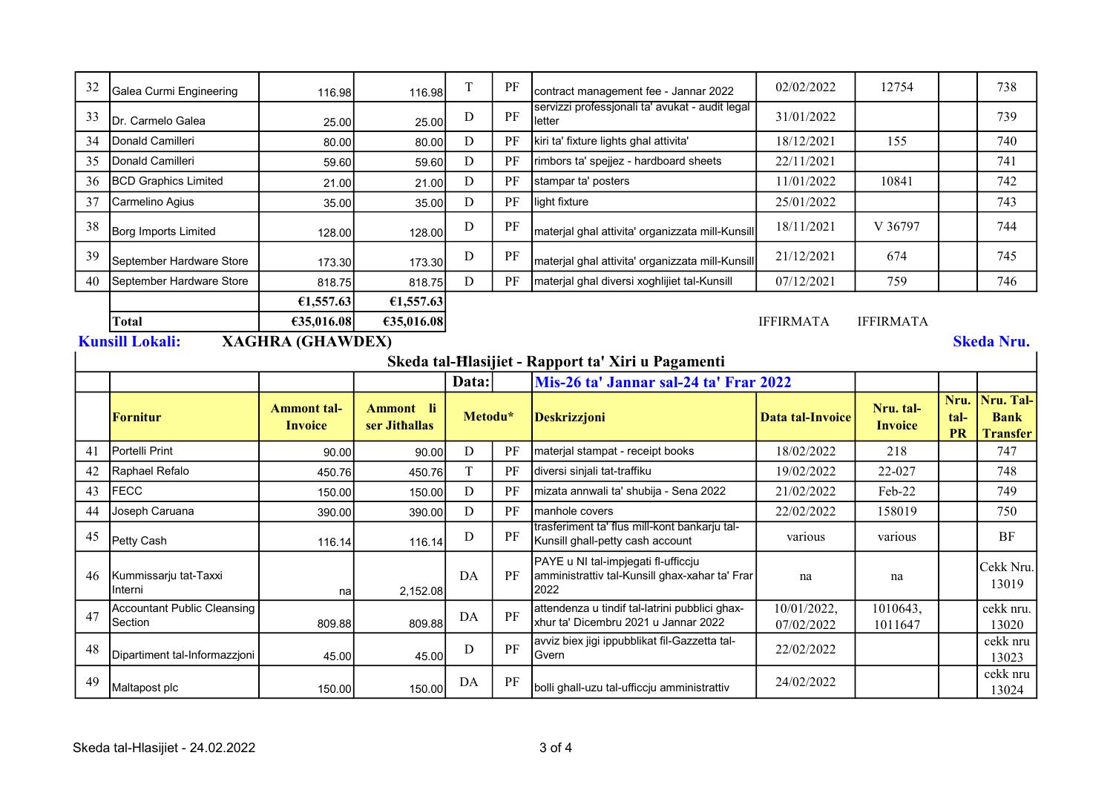| 32                                                                               | Galea Curmi Engineering                       | 116.98                               | 116.98                     | T           | PF       | contract management fee - Jannar 2022                                                         | 02/02/2022                | 12754                       |              | 738                      |  |
|----------------------------------------------------------------------------------|-----------------------------------------------|--------------------------------------|----------------------------|-------------|----------|-----------------------------------------------------------------------------------------------|---------------------------|-----------------------------|--------------|--------------------------|--|
| 33                                                                               | Dr. Carmelo Galea                             | 25.00                                | 25.00                      | D           | $\rm PF$ | servizzi professjonali ta' avukat - audit legal<br>letter                                     | 31/01/2022                |                             |              | 739                      |  |
| 34                                                                               | Donald Camilleri                              | 80.00                                | 80.00                      | D           | PF       | kiri ta' fixture lights ghal attivita'                                                        | 18/12/2021                | 155                         |              | 740                      |  |
| 35                                                                               | Donald Camilleri                              | 59.60                                | 59.60                      | $\mathbf D$ | PF       | rimbors ta' spejjez - hardboard sheets                                                        | 22/11/2021                |                             |              | 741                      |  |
| 36                                                                               | <b>BCD Graphics Limited</b>                   | 21.00                                | 21.00                      | D           | PF       | stampar ta' posters                                                                           | 11/01/2022                | 10841                       |              | 742                      |  |
| 37                                                                               | Carmelino Agius                               | 35.00                                | 35.00                      | D           | PF       | light fixture                                                                                 | 25/01/2022                |                             |              | 743                      |  |
| 38                                                                               | Borg Imports Limited                          | 128.00                               | 128.00                     | D           | $\rm PF$ | materjal ghal attivita' organizzata mill-Kunsill                                              | 18/11/2021                | V 36797                     |              | 744                      |  |
| 39                                                                               | September Hardware Store                      | 173.30                               | 173.30                     | D           | $\rm PF$ | materjal ghal attivita' organizzata mill-Kunsill                                              | 21/12/2021                | 674                         |              | 745                      |  |
| 40                                                                               | September Hardware Store                      | 818.75                               | 818.75                     | D           | PF       | materjal ghal diversi xoghlijiet tal-Kunsill                                                  | 07/12/2021                | 759                         |              | 746                      |  |
| €1,557.63<br>€1,557.63                                                           |                                               |                                      |                            |             |          |                                                                                               |                           |                             |              |                          |  |
| €35,016.08<br><b>IFFIRMATA</b><br><b>IFFIRMATA</b><br><b>Total</b><br>€35,016.08 |                                               |                                      |                            |             |          |                                                                                               |                           |                             |              |                          |  |
| <b>XAGHRA (GHAWDEX)</b><br><b>Kunsill Lokali:</b><br><b>Skeda Nru.</b>           |                                               |                                      |                            |             |          |                                                                                               |                           |                             |              |                          |  |
| Skeda tal-Hlasijiet - Rapport ta' Xiri u Pagamenti                               |                                               |                                      |                            |             |          |                                                                                               |                           |                             |              |                          |  |
|                                                                                  |                                               |                                      |                            | Data:       |          | Mis-26 ta' Jannar sal-24 ta' Frar 2022                                                        |                           |                             |              |                          |  |
|                                                                                  |                                               |                                      |                            |             |          |                                                                                               |                           |                             |              |                          |  |
|                                                                                  | Fornitur                                      | <b>Ammont tal-</b><br><b>Invoice</b> | Ammont li<br>ser Jithallas | Metodu*     |          | <b>Deskrizzjoni</b>                                                                           | <b>Data tal-Invoice</b>   | Nru. tal-<br><b>Invoice</b> | Nru.<br>tal- | Nru. Tal-<br><b>Bank</b> |  |
| 41                                                                               | Portelli Print                                | 90.00                                | 90.00                      | D           | PF       | materjal stampat - receipt books                                                              | 18/02/2022                | 218                         | <b>PR</b>    | <b>Transfer</b><br>747   |  |
| 42                                                                               | Raphael Refalo                                | 450.76                               | 450.76                     | $\mathbf T$ | PF       | diversi sinjali tat-traffiku                                                                  | 19/02/2022                | 22-027                      |              | 748                      |  |
| 43                                                                               | <b>FECC</b>                                   | 150.00                               | 150.00                     | D           | PF       | mizata annwali ta' shubija - Sena 2022                                                        | 21/02/2022                | Feb-22                      |              | 749                      |  |
| 44                                                                               | Joseph Caruana                                | 390.00                               | 390.00                     | D           | PF       | manhole covers                                                                                | 22/02/2022                | 158019                      |              | 750                      |  |
| 45                                                                               | Petty Cash                                    | 116.14                               | 116.14                     | D           | PF       | trasferiment ta' flus mill-kont bankarju tal-<br>Kunsill ghall-petty cash account             | various                   | various                     |              | <b>BF</b>                |  |
| 46                                                                               | Kummissarju tat-Taxxi<br>Interni              | nal                                  | 2,152.08                   | DA          | PF       | PAYE u NI tal-impjegati fl-ufficcju<br>amministrattiv tal-Kunsill ghax-xahar ta' Frar<br>2022 | na                        | na                          |              | Cekk Nru.<br>13019       |  |
| 47                                                                               | <b>Accountant Public Cleansing</b><br>Section | 809.88                               | 809.88                     | DA          | PF       | attendenza u tindif tal-latrini pubblici ghax-<br>xhur ta' Dicembru 2021 u Jannar 2022        | 10/01/2022,<br>07/02/2022 | 1010643,<br>1011647         |              | cekk nru.<br>13020       |  |
| 48                                                                               | Dipartiment tal-Informazzjoni                 | 45.00                                | 45.00                      | D           | PF       | avviz biex jigi ippubblikat fil-Gazzetta tal-<br>Gvern                                        | 22/02/2022                |                             |              | cekk nru<br>13023        |  |